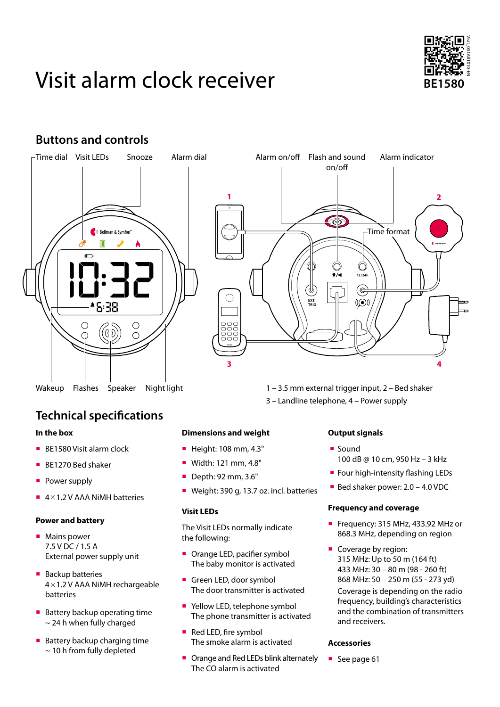

#### **Buttons and controls** Snooze Alarm dial Time dial Visit LEDs Snooze Alarm dial and Alarm on/off Flash and sound Alarm indicator on/off **1 2** Bellman & Symfon<sup>®</sup> Time format ∩  $12/24$ (G ◯  $((\widehat{(\bullet)})$  $^45:38$  $\bigcirc$  $\bigcirc$ 9 G Q  $\bigcap$ **3 4** Wakeup Flashes Speaker Night light 1 – 3.5 mm external trigger input, 2 – Bed shaker

# **Technical specifications**

#### **In the box**

- BE1580 Visit alarm clock
- BE1270 Bed shaker
- **Power supply**
- $\blacksquare$  4 × 1.2 V AAA NiMH batteries

#### **Power and battery**

- **Mains power** 7.5 V DC / 1.5 A External power supply unit
- Backup batteries  $4\times1.2$  V AAA NiMH rechargeable batteries
- $\blacksquare$  Battery backup operating time  $\sim$  24 h when fully charged
- Battery backup charging time  $\sim$  10 h from fully depleted
- **Dimensions and weight**
- Height: 108 mm, 4.3"
- Width: 121 mm, 4.8"
- Depth: 92 mm, 3.6"
- Weight: 390 g, 13.7 oz. incl. batteries

#### **Visit LEDs**

The Visit LEDs normally indicate the following:

- **Orange LED, pacifier symbol** The baby monitor is activated
- Green LED, door symbol The door transmitter is activated
- Yellow LED, telephone symbol The phone transmitter is activated
- Red LED, fire symbol The smoke alarm is activated
- Orange and Red LEDs blink alternately The CO alarm is activated

#### **Output signals**

3 – Landline telephone, 4 – Power supply

- Sound 100 dB @ 10 cm, 950 Hz – 3 kHz
- **Four high-intensity flashing LEDs**
- $\blacksquare$  Bed shaker power: 2.0 4.0 VDC

#### **Frequency and coverage**

- Frequency: 315 MHz, 433.92 MHz or 868.3 MHz, depending on region
- Coverage by region: 315 MHz: Up to 50 m (164 ft) 433 MHz: 30 – 80 m (98 - 260 ft) 868 MHz: 50 – 250 m (55 - 273 yd) Coverage is depending on the radio frequency, building's characteristics and the combination of transmitters and receivers.

#### **Accessories**

■ See page 61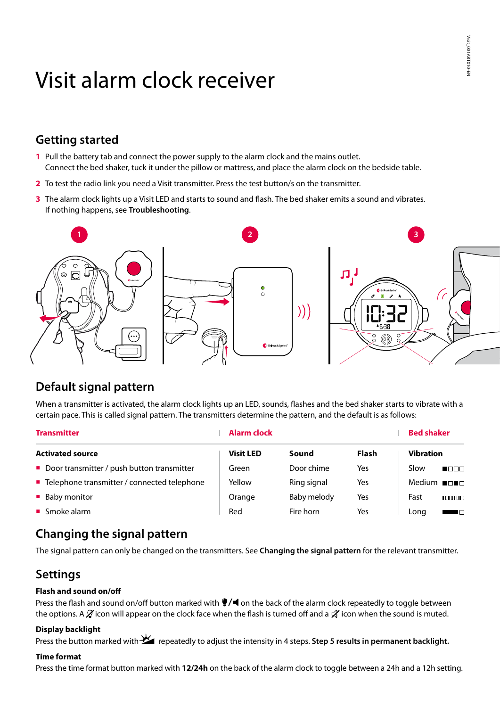### **Getting started**

- **1** Pull the battery tab and connect the power supply to the alarm clock and the mains outlet. Connect the bed shaker, tuck it under the pillow or mattress, and place the alarm clock on the bedside table.
- **2** To test the radio link you need a Visit transmitter. Press the test button/s on the transmitter.
- **3** The alarm clock lights up a Visit LED and starts to sound and flash. The bed shaker emits a sound and vibrates. If nothing happens, see **Troubleshooting**.



### **Default signal pattern**

When a transmitter is activated, the alarm clock lights up an LED, sounds, flashes and the bed shaker starts to vibrate with a certain pace. This is called signal pattern. The transmitters determine the pattern, and the default is as follows:

| <b>Transmitter</b>                            | Alarm clock      |             |              | <b>Bed shaker</b>                          |
|-----------------------------------------------|------------------|-------------|--------------|--------------------------------------------|
| <b>Activated source</b>                       | <b>Visit LED</b> | Sound       | <b>Flash</b> | <b>Vibration</b>                           |
| ■ Door transmitter / push button transmitter  | Green            | Door chime  | Yes          | Slow<br><b>ROOC</b>                        |
| ■ Telephone transmitter / connected telephone | Yellow           | Ring signal | Yes          | Medium $\blacksquare\square\square\square$ |
| ■ Baby monitor                                | Orange           | Baby melody | Yes          | Fast<br>10101010                           |
| $\blacksquare$ Smoke alarm                    | Red              | Fire horn   | Yes          | Long<br><b>Second</b> Co                   |

# **Changing the signal pattern**

The signal pattern can only be changed on the transmitters. See **Changing the signal pattern** for the relevant transmitter.

# **Settings**

#### **Flash and sound on/off**

Press the flash and sound on/off button marked with  $\blacklozenge / \blacktriangleleft$  on the back of the alarm clock repeatedly to toggle between the options. A  $\chi$  icon will appear on the clock face when the flash is turned off and a  $\chi$  icon when the sound is muted.

#### **Display backlight**

Press the button marked with **the preatedly to adjust the intensity in 4 steps. Step 5 results in permanent backlight.** 

#### **Time format**

Press the time format button marked with **12/24h** on the back of the alarm clock to toggle between a 24h and a 12h setting.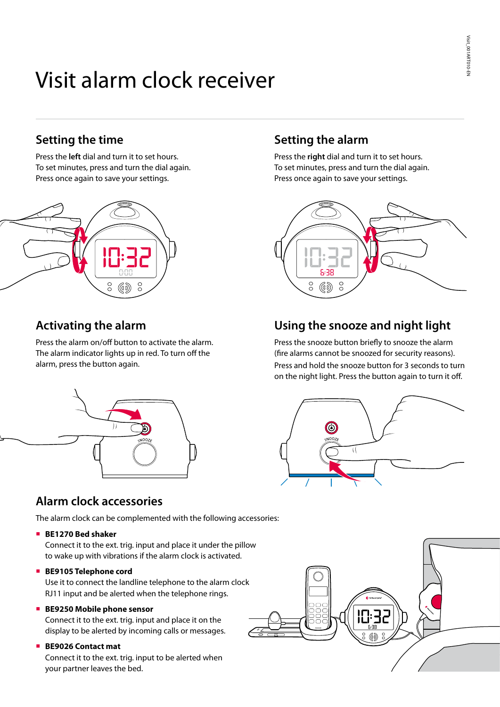### **Setting the time**

Press the **left** dial and turn it to set hours. To set minutes, press and turn the dial again. Press once again to save your settings.



# **Activating the alarm**

Press the alarm on/off button to activate the alarm. The alarm indicator lights up in red. To turn off the alarm, press the button again.



### **Alarm clock accessories**

The alarm clock can be complemented with the following accessories:

**BE1270 Bed shaker** 

Connect it to the ext. trig. input and place it under the pillow to wake up with vibrations if the alarm clock is activated.

**BE9105 Telephone cord**

Use it to connect the landline telephone to the alarm clock RJ11 input and be alerted when the telephone rings.

**BE9250 Mobile phone sensor**

Connect it to the ext. trig. input and place it on the display to be alerted by incoming calls or messages.

**BE9026 Contact mat**

Connect it to the ext. trig. input to be alerted when your partner leaves the bed.

# **Setting the alarm**

Press the **right** dial and turn it to set hours. To set minutes, press and turn the dial again. Press once again to save your settings.



# **Using the snooze and night light**

Press the snooze button briefly to snooze the alarm (fire alarms cannot be snoozed for security reasons). Press and hold the snooze button for 3 seconds to turn on the night light. Press the button again to turn it off.